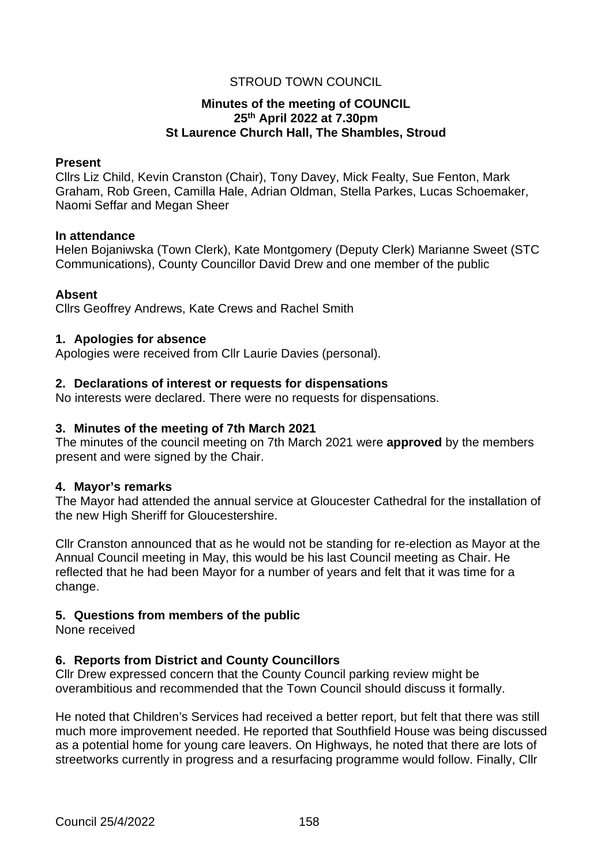# STROUD TOWN COUNCIL

# **Minutes of the meeting of COUNCIL 25th April 2022 at 7.30pm St Laurence Church Hall, The Shambles, Stroud**

#### **Present**

Cllrs Liz Child, Kevin Cranston (Chair), Tony Davey, Mick Fealty, Sue Fenton, Mark Graham, Rob Green, Camilla Hale, Adrian Oldman, Stella Parkes, Lucas Schoemaker, Naomi Seffar and Megan Sheer

#### **In attendance**

Helen Bojaniwska (Town Clerk), Kate Montgomery (Deputy Clerk) Marianne Sweet (STC Communications), County Councillor David Drew and one member of the public

#### **Absent**

Cllrs Geoffrey Andrews, Kate Crews and Rachel Smith

#### **1. Apologies for absence**

Apologies were received from Cllr Laurie Davies (personal).

#### **2. Declarations of interest or requests for dispensations**

No interests were declared. There were no requests for dispensations.

#### **3. Minutes of the meeting of 7th March 2021**

The minutes of the council meeting on 7th March 2021 were **approved** by the members present and were signed by the Chair.

# **4. Mayor's remarks**

The Mayor had attended the annual service at Gloucester Cathedral for the installation of the new High Sheriff for Gloucestershire.

Cllr Cranston announced that as he would not be standing for re-election as Mayor at the Annual Council meeting in May, this would be his last Council meeting as Chair. He reflected that he had been Mayor for a number of years and felt that it was time for a change.

# **5. Questions from members of the public**

None received

# **6. Reports from District and County Councillors**

Cllr Drew expressed concern that the County Council parking review might be overambitious and recommended that the Town Council should discuss it formally.

He noted that Children's Services had received a better report, but felt that there was still much more improvement needed. He reported that Southfield House was being discussed as a potential home for young care leavers. On Highways, he noted that there are lots of streetworks currently in progress and a resurfacing programme would follow. Finally, Cllr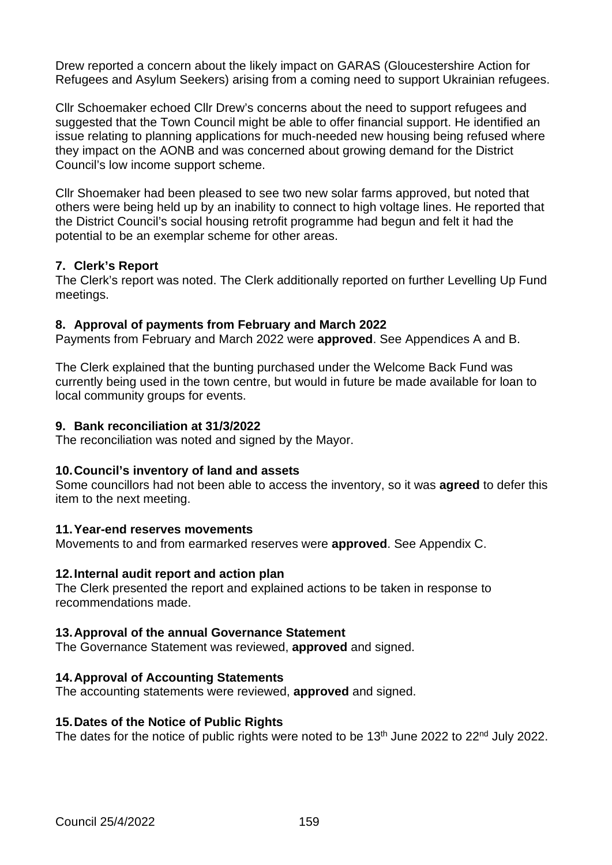Drew reported a concern about the likely impact on GARAS (Gloucestershire Action for Refugees and Asylum Seekers) arising from a coming need to support Ukrainian refugees.

Cllr Schoemaker echoed Cllr Drew's concerns about the need to support refugees and suggested that the Town Council might be able to offer financial support. He identified an issue relating to planning applications for much-needed new housing being refused where they impact on the AONB and was concerned about growing demand for the District Council's low income support scheme.

Cllr Shoemaker had been pleased to see two new solar farms approved, but noted that others were being held up by an inability to connect to high voltage lines. He reported that the District Council's social housing retrofit programme had begun and felt it had the potential to be an exemplar scheme for other areas.

# **7. Clerk's Report**

The Clerk's report was noted. The Clerk additionally reported on further Levelling Up Fund meetings.

#### **8. Approval of payments from February and March 2022**

Payments from February and March 2022 were **approved**. See Appendices A and B.

The Clerk explained that the bunting purchased under the Welcome Back Fund was currently being used in the town centre, but would in future be made available for loan to local community groups for events.

#### **9. Bank reconciliation at 31/3/2022**

The reconciliation was noted and signed by the Mayor.

#### **10.Council's inventory of land and assets**

Some councillors had not been able to access the inventory, so it was **agreed** to defer this item to the next meeting.

#### **11.Year-end reserves movements**

Movements to and from earmarked reserves were **approved**. See Appendix C.

#### **12.Internal audit report and action plan**

The Clerk presented the report and explained actions to be taken in response to recommendations made.

# **13.Approval of the annual Governance Statement**

The Governance Statement was reviewed, **approved** and signed.

# **14.Approval of Accounting Statements**

The accounting statements were reviewed, **approved** and signed.

#### **15.Dates of the Notice of Public Rights**

The dates for the notice of public rights were noted to be 13<sup>th</sup> June 2022 to 22<sup>nd</sup> July 2022.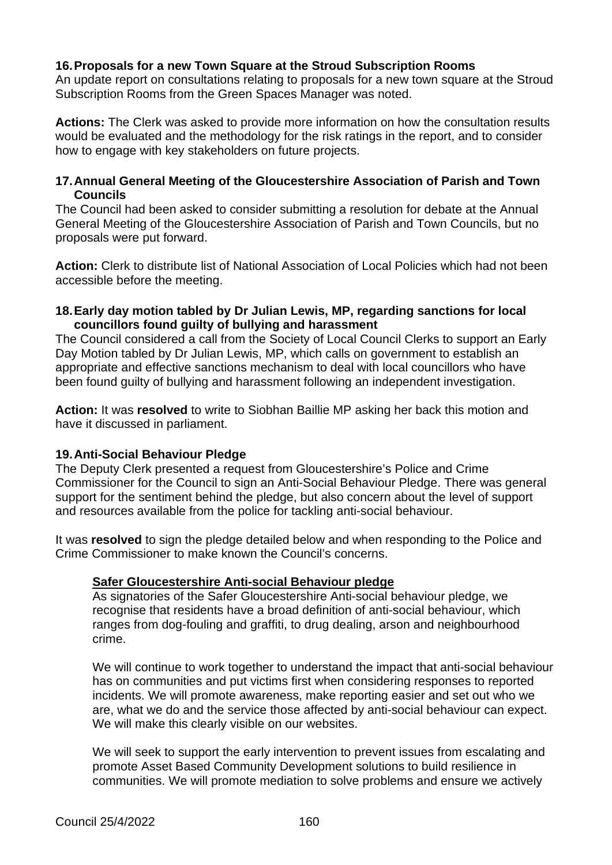# **16.Proposals for a new Town Square at the Stroud Subscription Rooms**

An update report on consultations relating to proposals for a new town square at the Stroud Subscription Rooms from the Green Spaces Manager was noted.

**Actions:** The Clerk was asked to provide more information on how the consultation results would be evaluated and the methodology for the risk ratings in the report, and to consider how to engage with key stakeholders on future projects.

## **17.Annual General Meeting of the Gloucestershire Association of Parish and Town Councils**

The Council had been asked to consider submitting a resolution for debate at the Annual General Meeting of the Gloucestershire Association of Parish and Town Councils, but no proposals were put forward.

**Action:** Clerk to distribute list of National Association of Local Policies which had not been accessible before the meeting.

#### **18.Early day motion tabled by Dr Julian Lewis, MP, regarding sanctions for local councillors found guilty of bullying and harassment**

The Council considered a call from the Society of Local Council Clerks to support an Early Day Motion tabled by Dr Julian Lewis, MP, which calls on government to establish an appropriate and effective sanctions mechanism to deal with local councillors who have been found guilty of bullying and harassment following an independent investigation.

**Action:** It was **resolved** to write to Siobhan Baillie MP asking her back this motion and have it discussed in parliament.

# **19.Anti-Social Behaviour Pledge**

The Deputy Clerk presented a request from Gloucestershire's Police and Crime Commissioner for the Council to sign an Anti-Social Behaviour Pledge. There was general support for the sentiment behind the pledge, but also concern about the level of support and resources available from the police for tackling anti-social behaviour.

It was **resolved** to sign the pledge detailed below and when responding to the Police and Crime Commissioner to make known the Council's concerns.

# **Safer Gloucestershire Anti-social Behaviour pledge**

As signatories of the Safer Gloucestershire Anti-social behaviour pledge, we recognise that residents have a broad definition of anti-social behaviour, which ranges from dog-fouling and graffiti, to drug dealing, arson and neighbourhood crime.

We will continue to work together to understand the impact that anti-social behaviour has on communities and put victims first when considering responses to reported incidents. We will promote awareness, make reporting easier and set out who we are, what we do and the service those affected by anti-social behaviour can expect. We will make this clearly visible on our websites.

We will seek to support the early intervention to prevent issues from escalating and promote Asset Based Community Development solutions to build resilience in communities. We will promote mediation to solve problems and ensure we actively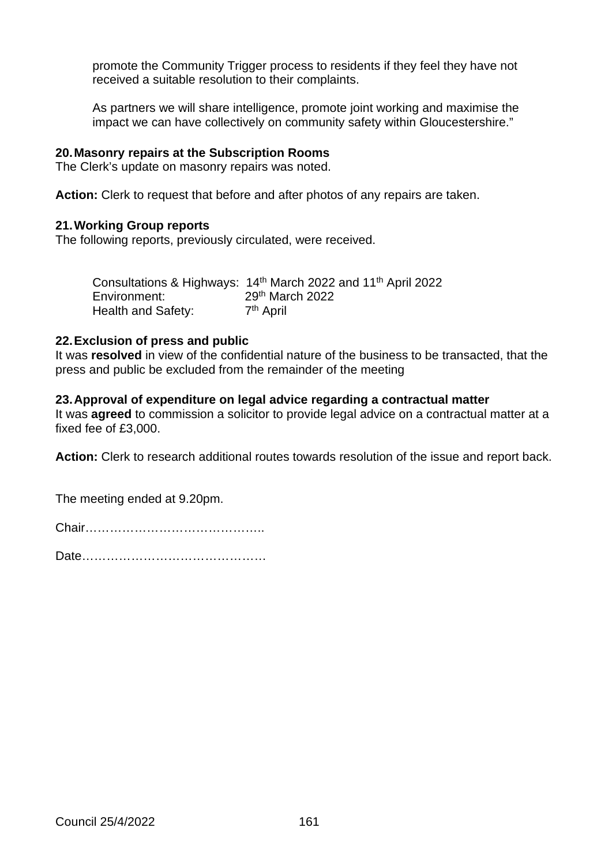promote the Community Trigger process to residents if they feel they have not received a suitable resolution to their complaints.

As partners we will share intelligence, promote joint working and maximise the impact we can have collectively on community safety within Gloucestershire."

# **20.Masonry repairs at the Subscription Rooms**

The Clerk's update on masonry repairs was noted.

**Action:** Clerk to request that before and after photos of any repairs are taken.

#### **21.Working Group reports**

The following reports, previously circulated, were received.

|                    | Consultations & Highways: 14 <sup>th</sup> March 2022 and 11 <sup>th</sup> April 2022 |
|--------------------|---------------------------------------------------------------------------------------|
| Environment:       | $29th$ March 2022                                                                     |
| Health and Safety: | 7 <sup>th</sup> April                                                                 |

# **22.Exclusion of press and public**

It was **resolved** in view of the confidential nature of the business to be transacted, that the press and public be excluded from the remainder of the meeting

# **23.Approval of expenditure on legal advice regarding a contractual matter**

It was **agreed** to commission a solicitor to provide legal advice on a contractual matter at a fixed fee of £3,000.

**Action:** Clerk to research additional routes towards resolution of the issue and report back.

The meeting ended at 9.20pm.

Date………………………………………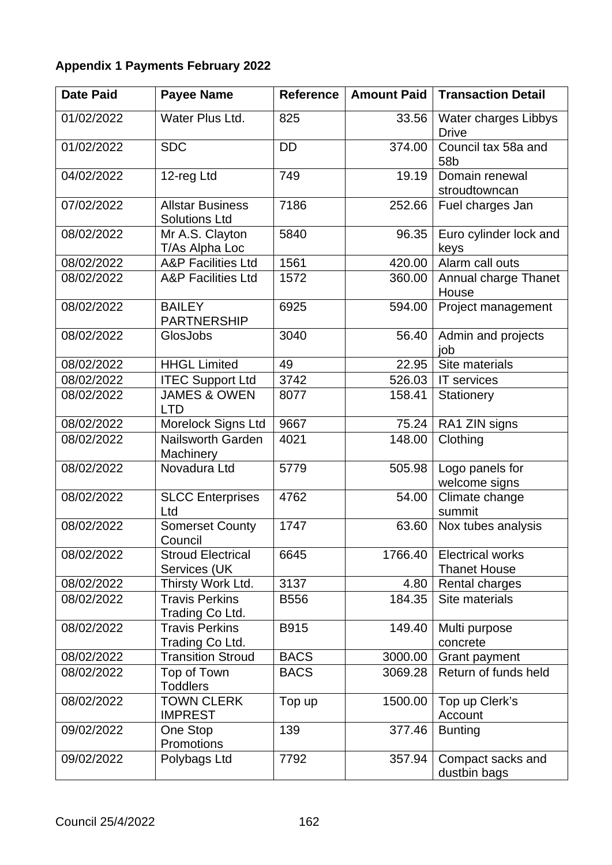# **Appendix 1 Payments February 2022**

| <b>Date Paid</b> | <b>Payee Name</b>                               | <b>Reference</b> | <b>Amount Paid</b> | <b>Transaction Detail</b>                      |
|------------------|-------------------------------------------------|------------------|--------------------|------------------------------------------------|
| 01/02/2022       | Water Plus Ltd.                                 | 825              | 33.56              | Water charges Libbys<br><b>Drive</b>           |
| 01/02/2022       | <b>SDC</b>                                      | <b>DD</b>        | 374.00             | Council tax 58a and<br>58b                     |
| 04/02/2022       | 12-reg Ltd                                      | 749              | 19.19              | Domain renewal<br>stroudtowncan                |
| 07/02/2022       | <b>Allstar Business</b><br><b>Solutions Ltd</b> | 7186             | 252.66             | Fuel charges Jan                               |
| 08/02/2022       | Mr A.S. Clayton<br>T/As Alpha Loc               | 5840             | 96.35              | Euro cylinder lock and<br>keys                 |
| 08/02/2022       | <b>A&amp;P Facilities Ltd</b>                   | 1561             | 420.00             | Alarm call outs                                |
| 08/02/2022       | <b>A&amp;P Facilities Ltd</b>                   | 1572             | 360.00             | Annual charge Thanet<br>House                  |
| 08/02/2022       | <b>BAILEY</b><br><b>PARTNERSHIP</b>             | 6925             | 594.00             | Project management                             |
| 08/02/2022       | GlosJobs                                        | 3040             | 56.40              | Admin and projects<br>job                      |
| 08/02/2022       | <b>HHGL Limited</b>                             | 49               | 22.95              | Site materials                                 |
| 08/02/2022       | <b>ITEC Support Ltd</b>                         | 3742             | 526.03             | <b>IT</b> services                             |
| 08/02/2022       | <b>JAMES &amp; OWEN</b><br><b>LTD</b>           | 8077             | 158.41             | Stationery                                     |
| 08/02/2022       | Morelock Signs Ltd                              | 9667             | 75.24              | RA1 ZIN signs                                  |
| 08/02/2022       | <b>Nailsworth Garden</b><br>Machinery           | 4021             | 148.00             | Clothing                                       |
| 08/02/2022       | Novadura Ltd                                    | 5779             | 505.98             | Logo panels for<br>welcome signs               |
| 08/02/2022       | <b>SLCC Enterprises</b><br>Ltd                  | 4762             | 54.00              | Climate change<br>summit                       |
| 08/02/2022       | <b>Somerset County</b><br>Council               | 1747             | 63.60              | Nox tubes analysis                             |
| 08/02/2022       | <b>Stroud Electrical</b><br>Services (UK        | 6645             | 1766.40            | <b>Electrical works</b><br><b>Thanet House</b> |
| 08/02/2022       | Thirsty Work Ltd.                               | 3137             | 4.80               | Rental charges                                 |
| 08/02/2022       | <b>Travis Perkins</b><br>Trading Co Ltd.        | <b>B556</b>      | 184.35             | Site materials                                 |
| 08/02/2022       | <b>Travis Perkins</b><br>Trading Co Ltd.        | B915             | 149.40             | Multi purpose<br>concrete                      |
| 08/02/2022       | <b>Transition Stroud</b>                        | <b>BACS</b>      | 3000.00            | Grant payment                                  |
| 08/02/2022       | Top of Town<br><b>Toddlers</b>                  | <b>BACS</b>      | 3069.28            | Return of funds held                           |
| 08/02/2022       | <b>TOWN CLERK</b><br><b>IMPREST</b>             | Top up           | 1500.00            | Top up Clerk's<br>Account                      |
| 09/02/2022       | One Stop<br>Promotions                          | 139              | 377.46             | <b>Bunting</b>                                 |
| 09/02/2022       | Polybags Ltd                                    | 7792             | 357.94             | Compact sacks and<br>dustbin bags              |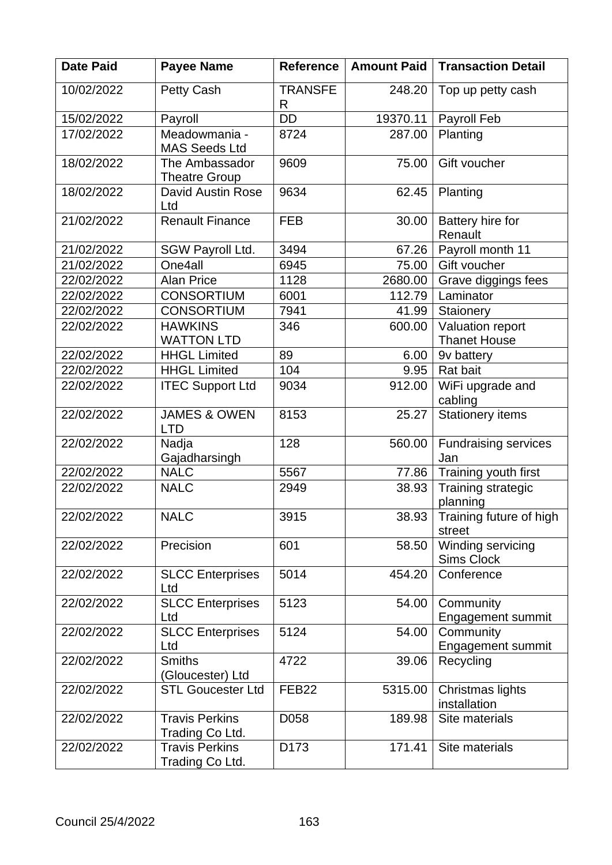| <b>Date Paid</b> | <b>Payee Name</b>                        | <b>Reference</b>    | <b>Amount Paid</b> | <b>Transaction Detail</b>               |  |
|------------------|------------------------------------------|---------------------|--------------------|-----------------------------------------|--|
| 10/02/2022       | <b>Petty Cash</b>                        | <b>TRANSFE</b><br>R | 248.20             | Top up petty cash                       |  |
| 15/02/2022       | Payroll                                  | <b>DD</b>           | 19370.11           | Payroll Feb                             |  |
| 17/02/2022       | Meadowmania -<br><b>MAS Seeds Ltd</b>    | 8724                | 287.00             | Planting                                |  |
| 18/02/2022       | The Ambassador<br><b>Theatre Group</b>   | 9609                | 75.00              | Gift voucher                            |  |
| 18/02/2022       | <b>David Austin Rose</b><br>Ltd          | 9634                | 62.45              | Planting                                |  |
| 21/02/2022       | <b>Renault Finance</b>                   | <b>FEB</b>          | 30.00              | Battery hire for<br>Renault             |  |
| 21/02/2022       | SGW Payroll Ltd.                         | 3494                | 67.26              | Payroll month 11                        |  |
| 21/02/2022       | One4all                                  | 6945                | 75.00              | Gift voucher                            |  |
| 22/02/2022       | <b>Alan Price</b>                        | 1128                | 2680.00            | Grave diggings fees                     |  |
| 22/02/2022       | <b>CONSORTIUM</b>                        | 6001                | 112.79             | Laminator                               |  |
| 22/02/2022       | <b>CONSORTIUM</b>                        | 7941                | 41.99              | Staionery                               |  |
| 22/02/2022       | <b>HAWKINS</b><br><b>WATTON LTD</b>      | 346                 | 600.00             | Valuation report<br><b>Thanet House</b> |  |
| 22/02/2022       | <b>HHGL Limited</b>                      | 89                  | 6.00               | 9v battery                              |  |
| 22/02/2022       | <b>HHGL Limited</b>                      | 104                 | 9.95               | Rat bait                                |  |
| 22/02/2022       | <b>ITEC Support Ltd</b>                  | 9034                | 912.00             | WiFi upgrade and<br>cabling             |  |
| 22/02/2022       | <b>JAMES &amp; OWEN</b><br><b>LTD</b>    | 8153                | 25.27              | <b>Stationery items</b>                 |  |
| 22/02/2022       | Nadja<br>Gajadharsingh                   | 128                 | 560.00             | <b>Fundraising services</b><br>Jan      |  |
| 22/02/2022       | <b>NALC</b>                              | 5567                | 77.86              | Training youth first                    |  |
| 22/02/2022       | <b>NALC</b>                              | 2949                | 38.93              | Training strategic<br>planning          |  |
| 22/02/2022       | <b>NALC</b>                              | 3915                | 38.93              | Training future of high<br>street       |  |
| 22/02/2022       | Precision                                | 601                 | 58.50              | Winding servicing<br>Sims Clock         |  |
| 22/02/2022       | <b>SLCC Enterprises</b><br>Ltd           | 5014                | 454.20             | Conference                              |  |
| 22/02/2022       | <b>SLCC Enterprises</b><br>Ltd           | 5123                | 54.00              | Community<br>Engagement summit          |  |
| 22/02/2022       | <b>SLCC Enterprises</b><br>Ltd           | 5124                | 54.00              | Community<br>Engagement summit          |  |
| 22/02/2022       | <b>Smiths</b><br>(Gloucester) Ltd        | 4722                | 39.06              | Recycling                               |  |
| 22/02/2022       | <b>STL Goucester Ltd</b>                 | FEB <sub>22</sub>   | 5315.00            | Christmas lights<br>installation        |  |
| 22/02/2022       | <b>Travis Perkins</b><br>Trading Co Ltd. | D058                | 189.98             | Site materials                          |  |
| 22/02/2022       | <b>Travis Perkins</b><br>Trading Co Ltd. | D <sub>173</sub>    | 171.41             | Site materials                          |  |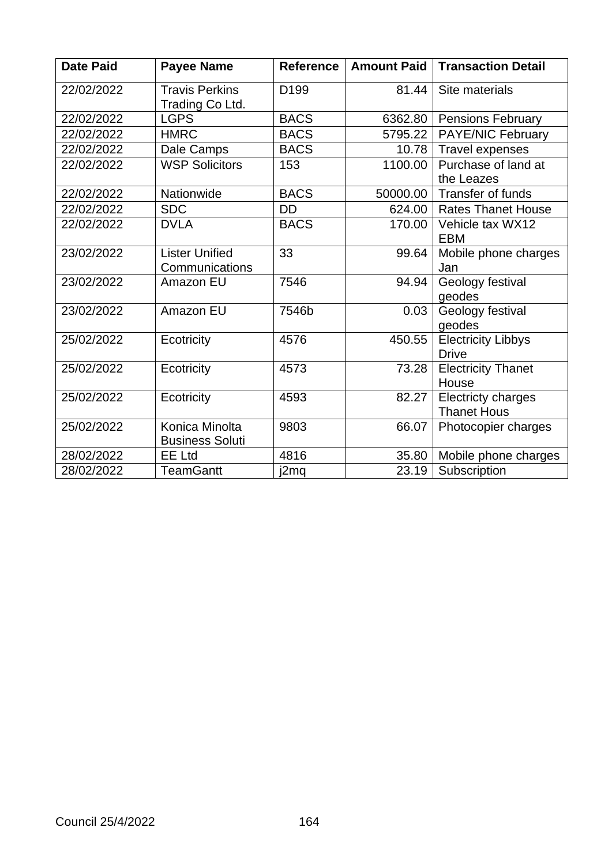| <b>Date Paid</b> | <b>Payee Name</b>                        | <b>Reference</b> | <b>Amount Paid</b> | <b>Transaction Detail</b>                       |  |
|------------------|------------------------------------------|------------------|--------------------|-------------------------------------------------|--|
| 22/02/2022       | <b>Travis Perkins</b><br>Trading Co Ltd. | D <sub>199</sub> | 81.44              | Site materials                                  |  |
| 22/02/2022       | <b>LGPS</b>                              | <b>BACS</b>      | 6362.80            | <b>Pensions February</b>                        |  |
| 22/02/2022       | <b>HMRC</b>                              | <b>BACS</b>      | 5795.22            | <b>PAYE/NIC February</b>                        |  |
| 22/02/2022       | Dale Camps                               | <b>BACS</b>      | 10.78              | Travel expenses                                 |  |
| 22/02/2022       | <b>WSP Solicitors</b>                    | 153              | 1100.00            | Purchase of land at<br>the Leazes               |  |
| 22/02/2022       | Nationwide                               | <b>BACS</b>      | 50000.00           | <b>Transfer of funds</b>                        |  |
| 22/02/2022       | <b>SDC</b>                               | DD               | 624.00             | <b>Rates Thanet House</b>                       |  |
| 22/02/2022       | <b>DVLA</b>                              | <b>BACS</b>      | 170.00             | Vehicle tax WX12<br><b>EBM</b>                  |  |
| 23/02/2022       | <b>Lister Unified</b><br>Communications  | 33               | 99.64              | Mobile phone charges<br>Jan                     |  |
| 23/02/2022       | Amazon EU                                | 7546             | 94.94              | Geology festival<br>geodes                      |  |
| 23/02/2022       | Amazon EU                                | 7546b            | 0.03               | Geology festival<br>geodes                      |  |
| 25/02/2022       | Ecotricity                               | 4576             | 450.55             | <b>Electricity Libbys</b><br><b>Drive</b>       |  |
| 25/02/2022       | Ecotricity                               | 4573             | 73.28              | <b>Electricity Thanet</b><br>House              |  |
| 25/02/2022       | Ecotricity                               | 4593<br>82.27    |                    | <b>Electricty charges</b><br><b>Thanet Hous</b> |  |
| 25/02/2022       | Konica Minolta<br><b>Business Soluti</b> | 9803             | 66.07              | Photocopier charges                             |  |
| 28/02/2022       | <b>EE Ltd</b>                            | 4816             | 35.80              | Mobile phone charges                            |  |
| 28/02/2022       | <b>TeamGantt</b>                         | j2mq             | 23.19              | Subscription                                    |  |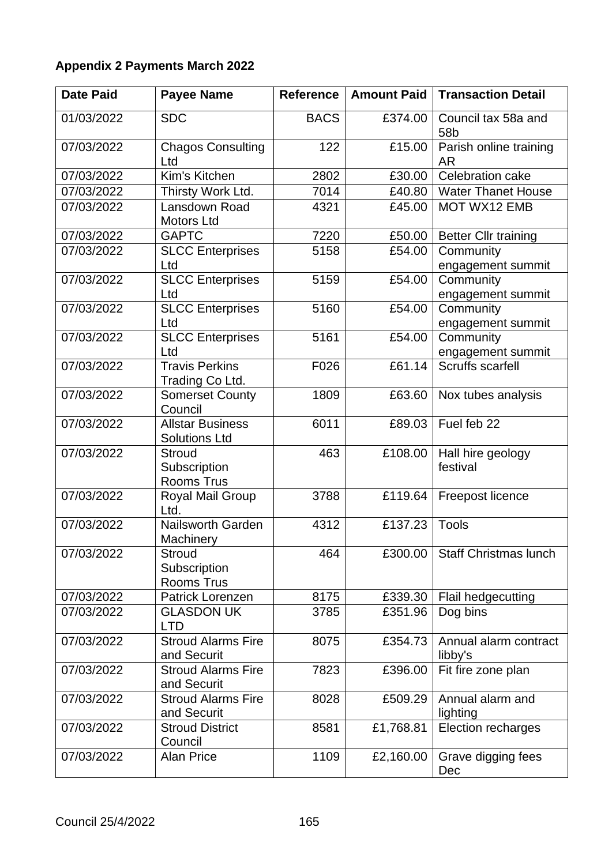# **Appendix 2 Payments March 2022**

| <b>Date Paid</b> | <b>Payee Name</b>                                  | <b>Reference</b> | <b>Amount Paid</b> | <b>Transaction Detail</b>              |  |
|------------------|----------------------------------------------------|------------------|--------------------|----------------------------------------|--|
| 01/03/2022       | <b>SDC</b>                                         | <b>BACS</b>      | £374.00            | Council tax 58a and<br>58 <sub>b</sub> |  |
| 07/03/2022       | <b>Chagos Consulting</b><br>Ltd                    | 122              | £15.00             | Parish online training<br><b>AR</b>    |  |
| 07/03/2022       | Kim's Kitchen                                      | 2802             | £30.00             | Celebration cake                       |  |
| 07/03/2022       | Thirsty Work Ltd.                                  | 7014             | £40.80             | <b>Water Thanet House</b>              |  |
| 07/03/2022       | Lansdown Road<br><b>Motors Ltd</b>                 | 4321             | £45.00             | <b>MOT WX12 EMB</b>                    |  |
| 07/03/2022       | <b>GAPTC</b>                                       | 7220             | £50.00             | <b>Better Cllr training</b>            |  |
| 07/03/2022       | <b>SLCC Enterprises</b><br>Ltd                     | 5158             | £54.00             | Community<br>engagement summit         |  |
| 07/03/2022       | <b>SLCC Enterprises</b>                            | 5159             | £54.00             | Community                              |  |
|                  | Ltd                                                |                  |                    | engagement summit                      |  |
| 07/03/2022       | <b>SLCC Enterprises</b>                            | 5160             | £54.00             | Community                              |  |
|                  | Ltd                                                |                  |                    | engagement summit                      |  |
| 07/03/2022       | <b>SLCC Enterprises</b>                            | 5161             | £54.00             | Community                              |  |
|                  | Ltd                                                |                  |                    | engagement summit                      |  |
| 07/03/2022       | <b>Travis Perkins</b><br>Trading Co Ltd.           | F026             | £61.14             | <b>Scruffs scarfell</b>                |  |
| 07/03/2022       | <b>Somerset County</b><br>Council                  | 1809             | £63.60             | Nox tubes analysis                     |  |
| 07/03/2022       | <b>Allstar Business</b><br><b>Solutions Ltd</b>    | 6011             | £89.03             | Fuel feb 22                            |  |
| 07/03/2022       | <b>Stroud</b><br>Subscription<br>Rooms Trus        | 463              | £108.00            | Hall hire geology<br>festival          |  |
| 07/03/2022       | Royal Mail Group<br>Ltd.                           | 3788             | £119.64            | Freepost licence                       |  |
| 07/03/2022       | <b>Nailsworth Garden</b><br>Machinery              | 4312             | £137.23            | <b>Tools</b>                           |  |
| 07/03/2022       | <b>Stroud</b><br>Subscription<br><b>Rooms Trus</b> | 464              | £300.00            | <b>Staff Christmas lunch</b>           |  |
| 07/03/2022       | Patrick Lorenzen                                   | 8175             | £339.30            | Flail hedgecutting                     |  |
| 07/03/2022       | <b>GLASDON UK</b><br><b>LTD</b>                    | 3785             | £351.96            | Dog bins                               |  |
| 07/03/2022       | <b>Stroud Alarms Fire</b><br>and Securit           | 8075             | £354.73            | Annual alarm contract<br>libby's       |  |
| 07/03/2022       | <b>Stroud Alarms Fire</b><br>and Securit           | 7823             | £396.00            | Fit fire zone plan                     |  |
| 07/03/2022       | <b>Stroud Alarms Fire</b><br>and Securit           | 8028             | £509.29            | Annual alarm and<br>lighting           |  |
| 07/03/2022       | <b>Stroud District</b><br>Council                  | 8581             | £1,768.81          | Election recharges                     |  |
| 07/03/2022       | <b>Alan Price</b>                                  | 1109             | £2,160.00          | Grave digging fees<br>Dec              |  |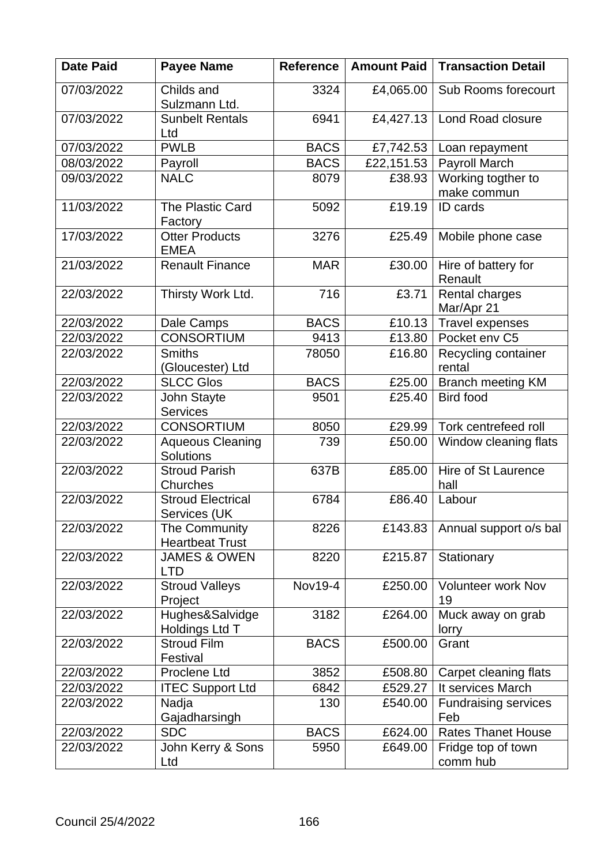| <b>Date Paid</b> | <b>Payee Name</b>                           | <b>Reference</b> | <b>Amount Paid</b> | <b>Transaction Detail</b>         |  |
|------------------|---------------------------------------------|------------------|--------------------|-----------------------------------|--|
| 07/03/2022       | Childs and<br>Sulzmann Ltd.                 | 3324             | £4,065.00          | Sub Rooms forecourt               |  |
| 07/03/2022       | <b>Sunbelt Rentals</b><br>Ltd               | 6941             | £4,427.13          | Lond Road closure                 |  |
| 07/03/2022       | <b>PWLB</b>                                 | <b>BACS</b>      | £7,742.53          | Loan repayment                    |  |
| 08/03/2022       | Payroll                                     | <b>BACS</b>      | £22,151.53         | Payroll March                     |  |
| 09/03/2022       | <b>NALC</b>                                 | 8079             | £38.93             | Working togther to<br>make commun |  |
| 11/03/2022       | The Plastic Card<br>Factory                 | 5092             | £19.19             | ID cards                          |  |
| 17/03/2022       | <b>Otter Products</b><br><b>EMEA</b>        | 3276             | £25.49             | Mobile phone case                 |  |
| 21/03/2022       | <b>Renault Finance</b>                      | <b>MAR</b>       | £30.00             | Hire of battery for<br>Renault    |  |
| 22/03/2022       | Thirsty Work Ltd.                           | 716              | £3.71              | Rental charges<br>Mar/Apr 21      |  |
| 22/03/2022       | Dale Camps                                  | <b>BACS</b>      | £10.13             | Travel expenses                   |  |
| 22/03/2022       | <b>CONSORTIUM</b>                           | 9413             | £13.80             | Pocket env C5                     |  |
| 22/03/2022       | <b>Smiths</b><br>(Gloucester) Ltd           | 78050            | £16.80             | Recycling container<br>rental     |  |
| 22/03/2022       | <b>SLCC Glos</b>                            | <b>BACS</b>      | £25.00             | <b>Branch meeting KM</b>          |  |
| 22/03/2022       | John Stayte<br><b>Services</b>              | 9501             | £25.40             | <b>Bird food</b>                  |  |
| 22/03/2022       | <b>CONSORTIUM</b>                           | 8050             | £29.99             | Tork centrefeed roll              |  |
| 22/03/2022       | <b>Aqueous Cleaning</b><br><b>Solutions</b> | 739              | £50.00             | Window cleaning flats             |  |
| 22/03/2022       | <b>Stroud Parish</b><br>Churches            | 637B             | £85.00             | Hire of St Laurence<br>hall       |  |
| 22/03/2022       | <b>Stroud Electrical</b><br>Services (UK    | 6784             | £86.40             | Labour                            |  |
| 22/03/2022       | The Community<br><b>Heartbeat Trust</b>     | 8226             | £143.83            | Annual support o/s bal            |  |
| 22/03/2022       | <b>JAMES &amp; OWEN</b><br><b>LTD</b>       | 8220             | £215.87            | Stationary                        |  |
| 22/03/2022       | <b>Stroud Valleys</b><br>Project            | Nov19-4          | £250.00            | <b>Volunteer work Nov</b><br>19   |  |
| 22/03/2022       | Hughes&Salvidge<br>Holdings Ltd T           | 3182             | £264.00            | Muck away on grab<br>lorry        |  |
| 22/03/2022       | <b>Stroud Film</b><br>Festival              | <b>BACS</b>      | £500.00            | Grant                             |  |
| 22/03/2022       | Proclene Ltd                                | 3852             | £508.80            | Carpet cleaning flats             |  |
| 22/03/2022       | <b>ITEC Support Ltd</b>                     | 6842             | £529.27            | It services March                 |  |
| 22/03/2022       | Nadja                                       | 130              | £540.00            | <b>Fundraising services</b>       |  |
| 22/03/2022       | Gajadharsingh<br><b>SDC</b>                 | <b>BACS</b>      | £624.00            | Feb<br><b>Rates Thanet House</b>  |  |
| 22/03/2022       | John Kerry & Sons                           | 5950             | £649.00            | Fridge top of town                |  |
|                  | Ltd                                         |                  |                    | comm hub                          |  |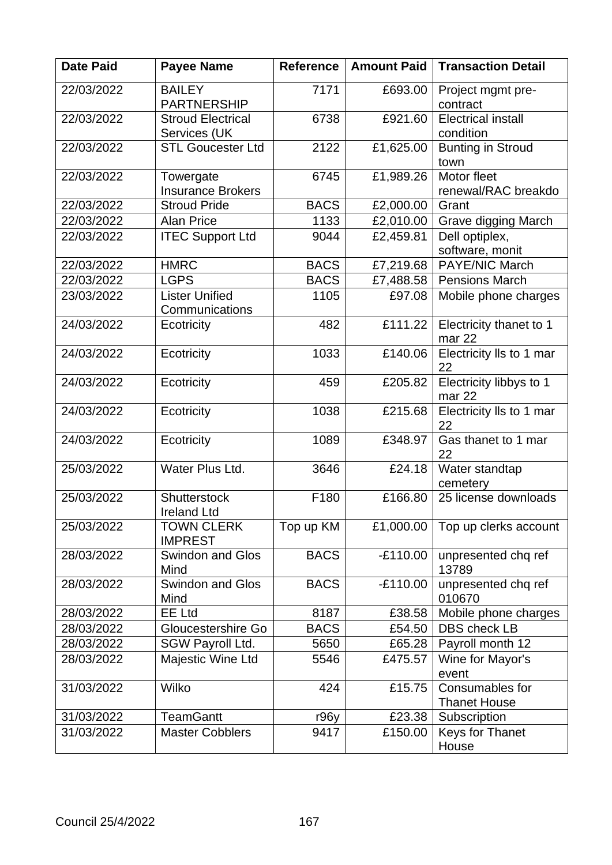| <b>Date Paid</b> | <b>Payee Name</b>                         | <b>Reference</b> | <b>Amount Paid</b> | <b>Transaction Detail</b>              |
|------------------|-------------------------------------------|------------------|--------------------|----------------------------------------|
| 22/03/2022       | <b>BAILEY</b><br><b>PARTNERSHIP</b>       | 7171             | £693.00            | Project mgmt pre-<br>contract          |
| 22/03/2022       | <b>Stroud Electrical</b><br>Services (UK  | 6738             | £921.60            | <b>Electrical install</b><br>condition |
| 22/03/2022       | <b>STL Goucester Ltd</b>                  | 2122             | £1,625.00          | <b>Bunting in Stroud</b><br>town       |
| 22/03/2022       | Towergate<br><b>Insurance Brokers</b>     | 6745             | £1,989.26          | Motor fleet<br>renewal/RAC breakdo     |
| 22/03/2022       | <b>Stroud Pride</b>                       | <b>BACS</b>      | £2,000.00          | Grant                                  |
| 22/03/2022       | <b>Alan Price</b>                         | 1133             | £2,010.00          | Grave digging March                    |
| 22/03/2022       | <b>ITEC Support Ltd</b>                   | 9044             | £2,459.81          | Dell optiplex,<br>software, monit      |
| 22/03/2022       | <b>HMRC</b>                               | <b>BACS</b>      | £7,219.68          | <b>PAYE/NIC March</b>                  |
| 22/03/2022       | <b>LGPS</b>                               | <b>BACS</b>      | £7,488.58          | <b>Pensions March</b>                  |
| 23/03/2022       | <b>Lister Unified</b><br>Communications   | 1105             | £97.08             | Mobile phone charges                   |
| 24/03/2022       | Ecotricity                                | 482              | £111.22            | Electricity thanet to 1<br>mar 22      |
| 24/03/2022       | Ecotricity                                | 1033             | £140.06            | Electricity IIs to 1 mar<br>22         |
| 24/03/2022       | Ecotricity                                | 459              | £205.82            | Electricity libbys to 1<br>mar 22      |
| 24/03/2022       | Ecotricity                                | 1038             | £215.68            | Electricity IIs to 1 mar<br>22         |
| 24/03/2022       | Ecotricity                                | 1089             | £348.97            | Gas thanet to 1 mar<br>22              |
| 25/03/2022       | Water Plus Ltd.                           | 3646             | £24.18             | Water standtap<br>cemetery             |
| 25/03/2022       | <b>Shutterstock</b><br><b>Ireland Ltd</b> | F180             | £166.80            | 25 license downloads                   |
| 25/03/2022       | <b>TOWN CLERK</b><br><b>IMPREST</b>       | Top up KM        | £1,000.00          | Top up clerks account                  |
| 28/03/2022       | <b>Swindon and Glos</b><br>Mind           | <b>BACS</b>      | $-E110.00$         | unpresented chq ref<br>13789           |
| 28/03/2022       | <b>Swindon and Glos</b><br>Mind           | <b>BACS</b>      | $-E110.00$         | unpresented chq ref<br>010670          |
| 28/03/2022       | <b>EE Ltd</b>                             | 8187             | £38.58             | Mobile phone charges                   |
| 28/03/2022       | Gloucestershire Go                        | <b>BACS</b>      | £54.50             | <b>DBS</b> check LB                    |
| 28/03/2022       | SGW Payroll Ltd.                          | 5650             | £65.28             | Payroll month 12                       |
| 28/03/2022       | Majestic Wine Ltd                         | 5546             | £475.57            | Wine for Mayor's<br>event              |
| 31/03/2022       | Wilko                                     | 424              | £15.75             | Consumables for<br><b>Thanet House</b> |
| 31/03/2022       | <b>TeamGantt</b>                          | r96y             | £23.38             | Subscription                           |
| 31/03/2022       | <b>Master Cobblers</b>                    | 9417             | £150.00            | <b>Keys for Thanet</b><br>House        |